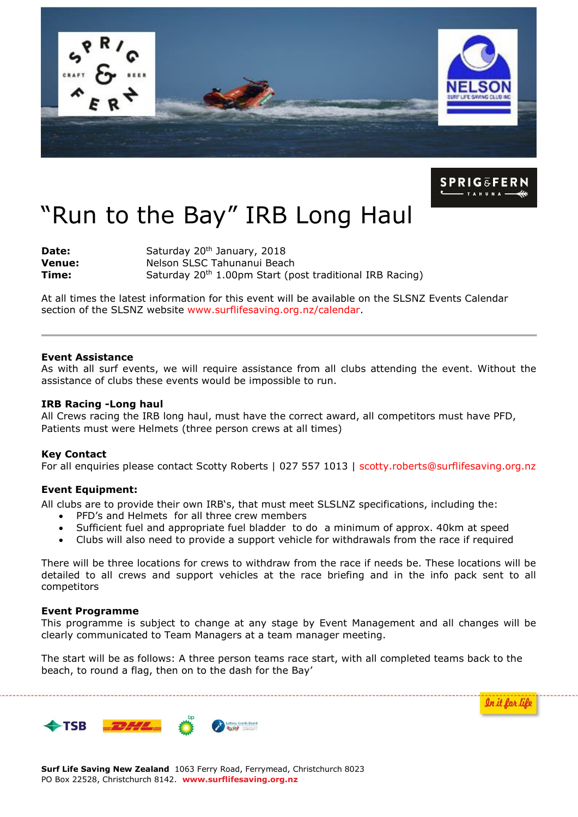



In it for life

# "Run to the Bay" IRB Long Haul

**Date: Venue: Time:**  Saturday 20<sup>th</sup> January, 2018 Nelson SLSC Tahunanui Beach Saturday 20<sup>th</sup> 1.00pm Start (post traditional IRB Racing)

At all times the latest information for this event will be available on the SLSNZ Events Calendar section of the SLSNZ website [www.surflifesaving.org.nz/calendar.](http://www.surflifesaving.org.nz/calendar)

## **Event Assistance**

As with all surf events, we will require assistance from all clubs attending the event. Without the assistance of clubs these events would be impossible to run.

#### **IRB Racing -Long haul**

All Crews racing the IRB long haul, must have the correct award, all competitors must have PFD, Patients must were Helmets (three person crews at all times)

### **Key Contact**

For all enquiries please contact Scotty Roberts | 027 557 1013 | [scotty.roberts@surflifesaving.org.nz](mailto:scotty.roberts@surflifesaving.org.nz)

### **Event Equipment:**

All clubs are to provide their own IRB's, that must meet SLSLNZ specifications, including the:

- PFD's and Helmets for all three crew members
- Sufficient fuel and appropriate fuel bladder to do a minimum of approx. 40km at speed
- Clubs will also need to provide a support vehicle for withdrawals from the race if required

There will be three locations for crews to withdraw from the race if needs be. These locations will be detailed to all crews and support vehicles at the race briefing and in the info pack sent to all competitors

#### **Event Programme**

This programme is subject to change at any stage by Event Management and all changes will be clearly communicated to Team Managers at a team manager meeting.

The start will be as follows: A three person teams race start, with all completed teams back to the beach, to round a flag, then on to the dash for the Bay'